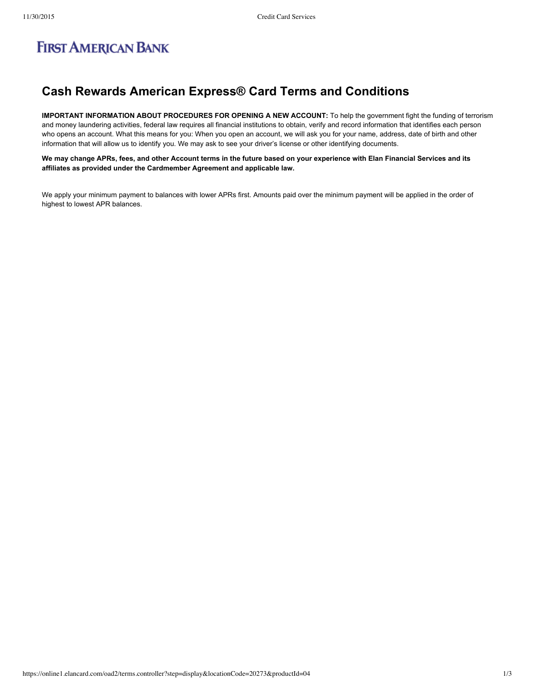# **FIRST AMERICAN BANK**

## **Cash Rewards American Express® Card Terms and Conditions**

**IMPORTANT INFORMATION ABOUT PROCEDURES FOR OPENING A NEW ACCOUNT:** To help the government fight the funding of terrorism and money laundering activities, federal law requires all financial institutions to obtain, verify and record information that identifies each person who opens an account. What this means for you: When you open an account, we will ask you for your name, address, date of birth and other information that will allow us to identify you. We may ask to see your driver's license or other identifying documents.

We may change APRs, fees, and other Account terms in the future based on your experience with Elan Financial Services and its **affiliates as provided under the Cardmember Agreement and applicable law.**

We apply your minimum payment to balances with lower APRs first. Amounts paid over the minimum payment will be applied in the order of highest to lowest APR balances.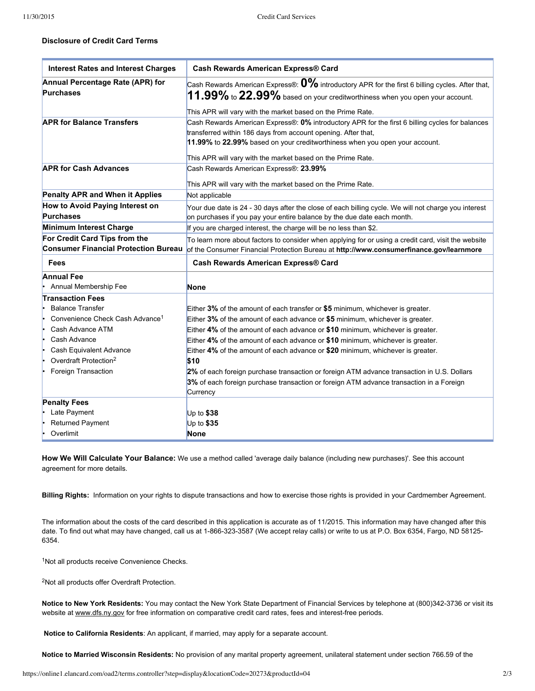### **Disclosure of Credit Card Terms**

| <b>Interest Rates and Interest Charges</b>           | <b>Cash Rewards American Express® Card</b>                                                                                                                                              |
|------------------------------------------------------|-----------------------------------------------------------------------------------------------------------------------------------------------------------------------------------------|
| Annual Percentage Rate (APR) for<br><b>Purchases</b> | Cash Rewards American Express®: $0\%$ introductory APR for the first 6 billing cycles. After that,<br>$11.99\%$ to $22.99\%$ based on your creditworthiness when you open your account. |
|                                                      | This APR will vary with the market based on the Prime Rate.                                                                                                                             |
| <b>APR for Balance Transfers</b>                     | Cash Rewards American Express®: 0% introductory APR for the first 6 billing cycles for balances                                                                                         |
|                                                      | transferred within 186 days from account opening. After that,                                                                                                                           |
|                                                      | 11.99% to 22.99% based on your creditworthiness when you open your account.                                                                                                             |
|                                                      | This APR will vary with the market based on the Prime Rate.                                                                                                                             |
| <b>APR for Cash Advances</b>                         | Cash Rewards American Express®: 23.99%                                                                                                                                                  |
|                                                      |                                                                                                                                                                                         |
|                                                      | This APR will vary with the market based on the Prime Rate.                                                                                                                             |
| Penalty APR and When it Applies                      | Not applicable                                                                                                                                                                          |
| How to Avoid Paying Interest on                      | Your due date is 24 - 30 days after the close of each billing cycle. We will not charge you interest                                                                                    |
| <b>Purchases</b>                                     | on purchases if you pay your entire balance by the due date each month.                                                                                                                 |
| <b>Minimum Interest Charge</b>                       | If you are charged interest, the charge will be no less than \$2.                                                                                                                       |
| For Credit Card Tips from the                        | To learn more about factors to consider when applying for or using a credit card, visit the website                                                                                     |
| <b>Consumer Financial Protection Bureau</b>          | of the Consumer Financial Protection Bureau at http://www.consumerfinance.gov/learnmore                                                                                                 |
| <b>Fees</b>                                          | <b>Cash Rewards American Express® Card</b>                                                                                                                                              |
| <b>Annual Fee</b>                                    |                                                                                                                                                                                         |
| Annual Membership Fee                                | <b>None</b>                                                                                                                                                                             |
| <b>Transaction Fees</b>                              |                                                                                                                                                                                         |
| <b>Balance Transfer</b>                              | Either $3\%$ of the amount of each transfer or \$5 minimum, whichever is greater.                                                                                                       |
| Convenience Check Cash Advance <sup>1</sup>          | Either 3% of the amount of each advance or \$5 minimum, whichever is greater.                                                                                                           |
| Cash Advance ATM                                     | Either 4% of the amount of each advance or \$10 minimum, whichever is greater.                                                                                                          |
| Cash Advance                                         | Either 4% of the amount of each advance or \$10 minimum, whichever is greater.                                                                                                          |
| Cash Equivalent Advance                              | Either 4% of the amount of each advance or \$20 minimum, whichever is greater.                                                                                                          |
| Overdraft Protection <sup>2</sup>                    | \$10                                                                                                                                                                                    |
| Foreign Transaction                                  | 2% of each foreign purchase transaction or foreign ATM advance transaction in U.S. Dollars                                                                                              |
|                                                      | 3% of each foreign purchase transaction or foreign ATM advance transaction in a Foreign                                                                                                 |
|                                                      | Currency                                                                                                                                                                                |
| <b>Penalty Fees</b>                                  |                                                                                                                                                                                         |
| Late Payment                                         | Up to $$38$                                                                                                                                                                             |
| <b>Returned Payment</b>                              | Up to \$35                                                                                                                                                                              |
| Overlimit                                            | <b>None</b>                                                                                                                                                                             |

**How We Will Calculate Your Balance:** We use a method called 'average daily balance (including new purchases)'. See this account agreement for more details.

**Billing Rights:** Information on your rights to dispute transactions and how to exercise those rights is provided in your Cardmember Agreement.

The information about the costs of the card described in this application is accurate as of 11/2015. This information may have changed after this date. To find out what may have changed, call us at 1-866-323-3587 (We accept relay calls) or write to us at P.O. Box 6354, Fargo, ND 58125-6354.

<sup>1</sup>Not all products receive Convenience Checks.

<sup>2</sup>Not all products offer Overdraft Protection.

**Notice to New York Residents:** You may contact the New York State Department of Financial Services by telephone at (800)3423736 or visit its website at [www.dfs.ny.gov](http://www.dfs.ny.gov/) for free information on comparative credit card rates, fees and interest-free periods.

**Notice to California Residents**: An applicant, if married, may apply for a separate account.

**Notice to Married Wisconsin Residents:** No provision of any marital property agreement, unilateral statement under section 766.59 of the